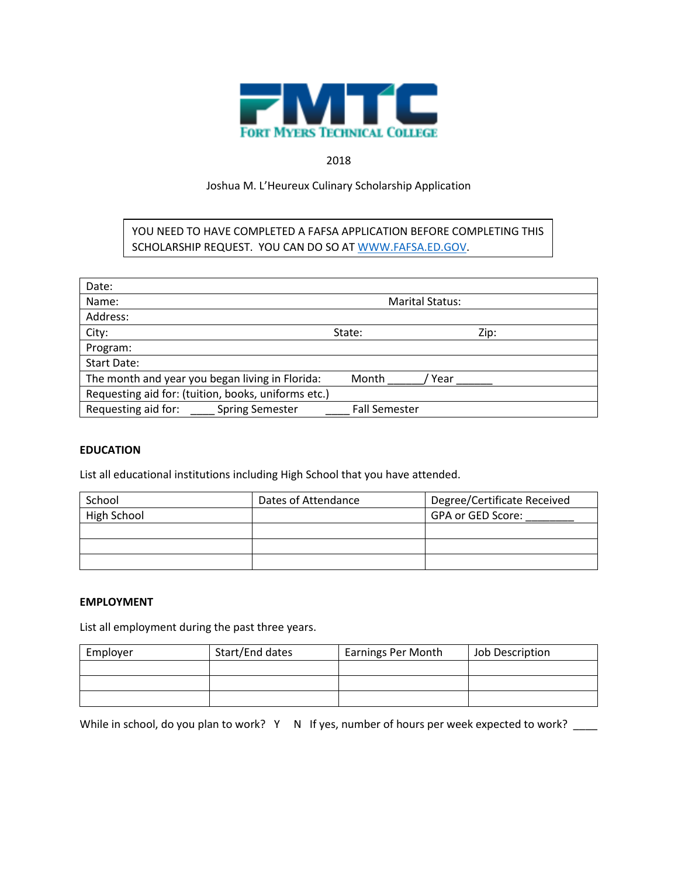

## 2018

# Joshua M. L'Heureux Culinary Scholarship Application

YOU NEED TO HAVE COMPLETED A FAFSA APPLICATION BEFORE COMPLETING THIS SCHOLARSHIP REQUEST. YOU CAN DO SO AT [WWW.FAFSA.ED.GOV.](http://www.fafsa.ed.gov/)

| Date:                                               |                        |      |
|-----------------------------------------------------|------------------------|------|
| Name:                                               | <b>Marital Status:</b> |      |
| Address:                                            |                        |      |
| City:                                               | State:                 | Zip: |
| Program:                                            |                        |      |
| Start Date:                                         |                        |      |
| The month and year you began living in Florida:     | Month<br>Year          |      |
| Requesting aid for: (tuition, books, uniforms etc.) |                        |      |
| Requesting aid for:<br><b>Spring Semester</b>       | <b>Fall Semester</b>   |      |

### **EDUCATION**

List all educational institutions including High School that you have attended.

| School      | Dates of Attendance | Degree/Certificate Received |
|-------------|---------------------|-----------------------------|
| High School |                     | GPA or GED Score:           |
|             |                     |                             |
|             |                     |                             |
|             |                     |                             |

### **EMPLOYMENT**

List all employment during the past three years.

| Employer | Start/End dates | <b>Earnings Per Month</b> | Job Description |
|----------|-----------------|---------------------------|-----------------|
|          |                 |                           |                 |
|          |                 |                           |                 |
|          |                 |                           |                 |

While in school, do you plan to work? Y  $\,$  N  $\,$  If yes, number of hours per week expected to work?  $\,$   $\,$   $\,$   $\,$   $\,$